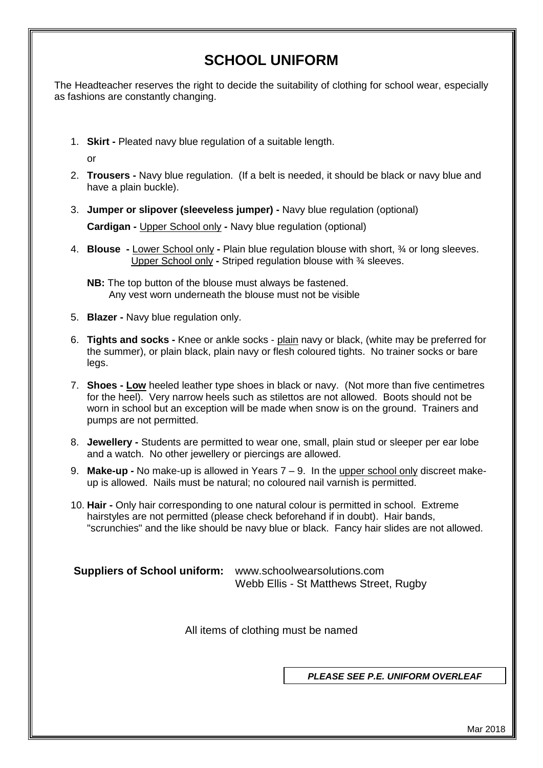# **SCHOOL UNIFORM**

The Headteacher reserves the right to decide the suitability of clothing for school wear, especially as fashions are constantly changing.

1. **Skirt -** Pleated navy blue regulation of a suitable length.

or

- 2. **Trousers -** Navy blue regulation. (If a belt is needed, it should be black or navy blue and have a plain buckle).
- 3. **Jumper or slipover (sleeveless jumper) -** Navy blue regulation (optional) **Cardigan -** Upper School only **-** Navy blue regulation (optional)
- 4. **Blouse -** Lower School only **-** Plain blue regulation blouse with short, ¾ or long sleeves. Upper School only **-** Striped regulation blouse with ¾ sleeves.

**NB:** The top button of the blouse must always be fastened. Any vest worn underneath the blouse must not be visible

- 5. **Blazer -** Navy blue regulation only.
- 6. **Tights and socks -** Knee or ankle socks plain navy or black, (white may be preferred for the summer), or plain black, plain navy or flesh coloured tights. No trainer socks or bare legs.
- 7. **Shoes - Low** heeled leather type shoes in black or navy. (Not more than five centimetres for the heel). Very narrow heels such as stilettos are not allowed. Boots should not be worn in school but an exception will be made when snow is on the ground. Trainers and pumps are not permitted.
- 8. **Jewellery -** Students are permitted to wear one, small, plain stud or sleeper per ear lobe and a watch. No other jewellery or piercings are allowed.
- 9. **Make-up -** No make-up is allowed in Years 7 9. In the upper school only discreet makeup is allowed. Nails must be natural; no coloured nail varnish is permitted.
- 10. **Hair -** Only hair corresponding to one natural colour is permitted in school. Extreme hairstyles are not permitted (please check beforehand if in doubt). Hair bands, "scrunchies" and the like should be navy blue or black. Fancy hair slides are not allowed.

**Suppliers of School uniform:** www.schoolwearsolutions.com Webb Ellis - St Matthews Street, Rugby

All items of clothing must be named

*PLEASE SEE P.E. UNIFORM OVERLEAF*